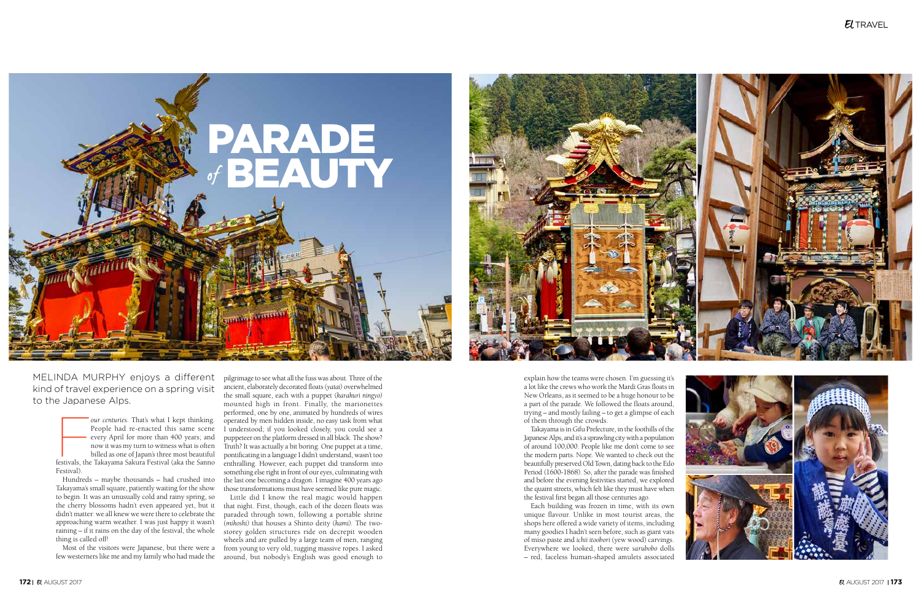## $E$ *TRAVEL*



Four centuries. That's what I kept thinking.<br>
Feople had re-enacted this same scene<br>
every April for more than 400 years; and<br>
now it was my turn to witness what is often<br>
billed as one of Japan's three most beautiful<br>
fes People had re-enacted this same scene every April for more than 400 years; and now it was my turn to witness what is often billed as one of Japan's three most beautiful Festival).

Hundreds – maybe thousands – had crushed into Takayama's small square, patiently waiting for the show to begin. It was an unusually cold and rainy spring, so the cherry blossoms hadn't even appeared yet, but it didn't matter: we all knew we were there to celebrate the approaching warm weather. I was just happy it wasn't raining – if it rains on the day of the festival, the whole thing is called off!

MELINDA MURPHY enjoys a different kind of travel experience on a spring visit to the Japanese Alps.





pilgrimage to see what all the fuss was about. Three of the ancient, elaborately decorated floats (*yatai)* overwhelmed the small square, each with a puppet (*karakuri ningyo)* mounted high in front. Finally, the marionettes performed, one by one, animated by hundreds of wires operated by men hidden inside, no easy task from what I understood; if you looked closely, you could see a puppeteer on the platform dressed in all black. The show? Truth? It was actually a bit boring. One puppet at a time, pontificating in a language I didn't understand, wasn't too enthralling. However, each puppet did transform into something else right in front of our eyes, culminating with the last one becoming a dragon. I imagine 400 years ago those transformations must have seemed like pure magic.

Most of the visitors were Japanese, but there were a from young to very old, tugging massive ropes. I asked few westerners like me and my family who had made the around, but nobody's English was good enough to Little did I know the real magic would happen that night. First, though, each of the dozen floats was paraded through town, following a portable shrine (*mikoshi)* that houses a Shinto deity (*kami).* The twostorey golden structures ride on decrepit wooden wheels and are pulled by a large team of men, ranging

explain how the teams were chosen. I'm guessing it's a lot like the crews who work the Mardi Gras floats in New Orleans, as it seemed to be a huge honour to be a part of the parade. We followed the floats around, trying – and mostly failing – to get a glimpse of each of them through the crowds.

Takayama is in Gifu Prefecture, in the foothills of the Japanese Alps, and it's a sprawling city with a population of around 100,000. People like me don't come to see the modern parts. Nope. We wanted to check out the beautifully preserved Old Town, dating back to the Edo Period (1600-1868). So, after the parade was finished and before the evening festivities started, we explored the quaint streets, which felt like they must have when the festival first began all those centuries ago.

Each building was frozen in time, with its own unique flavour. Unlike in most tourist areas, the shops here offered a wide variety of items, including many goodies I hadn't seen before, such as giant vats of miso paste and *ichii itoobori* (yew wood) carvings. Everywhere we looked, there were *sarubobo* dolls – red, faceless human-shaped amulets associated